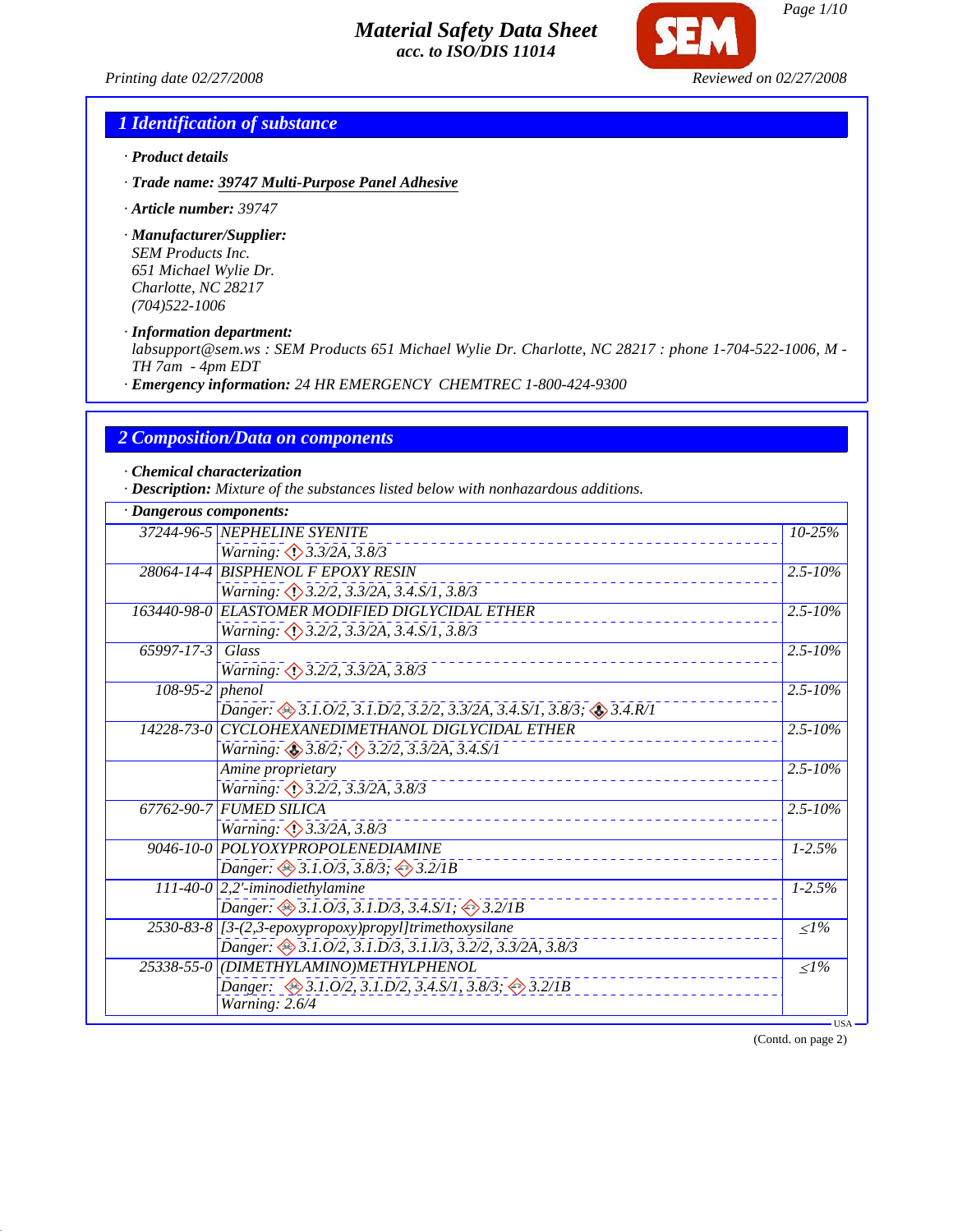*Printing date 02/27/2008 Reviewed on 02/27/2008*

*Page 1/10*

# *1 Identification of substance*

- *· Product details*
- *· Trade name: 39747 Multi-Purpose Panel Adhesive*
- *· Article number: 39747*

*· Manufacturer/Supplier: SEM Products Inc. 651 Michael Wylie Dr. Charlotte, NC 28217 (704)522-1006*

*· Information department:*

*labsupport@sem.ws : SEM Products 651 Michael Wylie Dr. Charlotte, NC 28217 : phone 1-704-522-1006, M - TH 7am - 4pm EDT*

*· Emergency information: 24 HR EMERGENCY CHEMTREC 1-800-424-9300*

#### *2 Composition/Data on components*

*· Chemical characterization*

*· Description: Mixture of the substances listed below with nonhazardous additions.*

|                  | 37244-96-5 NEPHELINE SYENITE                                     | 10-25%                  |
|------------------|------------------------------------------------------------------|-------------------------|
|                  | Warning: 3.3/2A, 3.8/3                                           |                         |
|                  | 28064-14-4 BISPHENOL F EPOXY RESIN                               | $2.5 - 10\%$            |
|                  | Warning: 3.2/2, 3.3/2A, 3.4.S/1, 3.8/3                           |                         |
|                  | 163440-98-0 ELASTOMER MODIFIED DIGLYCIDAL ETHER                  | $2.5 - 10\%$            |
|                  | Warning: 3.2/2, 3.3/2A, 3.4.S/1, 3.8/3                           |                         |
| 65997-17-3 Glass |                                                                  | $2.5 - 10\%$            |
|                  | Warning: 3.2/2, 3.3/2A, 3.8/3                                    |                         |
| 108-95-2 phenol  |                                                                  | $\overline{2.5} - 10\%$ |
|                  | Danger: 3.1.0/2, 3.1.D/2, 3.2/2, 3.3/2A, 3.4.S/1, 3.8/3; 3.4.R/1 |                         |
|                  | 14228-73-0 CYCLOHEXANEDIMETHANOL DIGLYCIDAL ETHER                | $2.5 - 10\%$            |
|                  | Warning: 3.8/2; 3.2/2, 3.3/2A, 3.4.S/1                           |                         |
|                  | Amine proprietary                                                | $2.5 - 10\%$            |
|                  | Warning: 3.2/2, 3.3/2A, 3.8/3                                    |                         |
|                  | 67762-90-7 FUMED SILICA                                          | $2.5 - 10\%$            |
|                  | <i>Warning: <math>\bigcirc</math> 3.3/2A, 3.8/3</i>              |                         |
|                  | 9046-10-0 POLYOXYPROPOLENEDIAMINE                                | $1 - 2.5%$              |
|                  | Danger: $\otimes$ 3.1.0/3, 3.8/3; $\otimes$ 3.2/1B               |                         |
|                  | $111-40-0$ 2,2'-iminodiethylamine                                | $1 - 2.5%$              |
|                  | Danger: $\otimes$ 3.1.0/3, 3.1.D/3, 3.4.S/1; $\otimes$ 3.2/1B    |                         |
|                  | 2530-83-8 [3-(2,3-epoxypropoxy)propyl]trimethoxysilane           | $\leq l\%$              |
|                  | Danger: 3.1.0/2, 3.1.D/3, 3.1.I/3, 3.2/2, 3.3/2A, 3.8/3          |                         |
|                  | 25338-55-0 (DIMETHYLAMINO)METHYLPHENOL                           | $\leq l\%$              |
|                  | Danger: 3.1.0/2, 3.1.D/2, 3.4.S/1, 3.8/3; 3.2/1B                 |                         |
|                  | Warning: 2.6/4                                                   |                         |

(Contd. on page 2)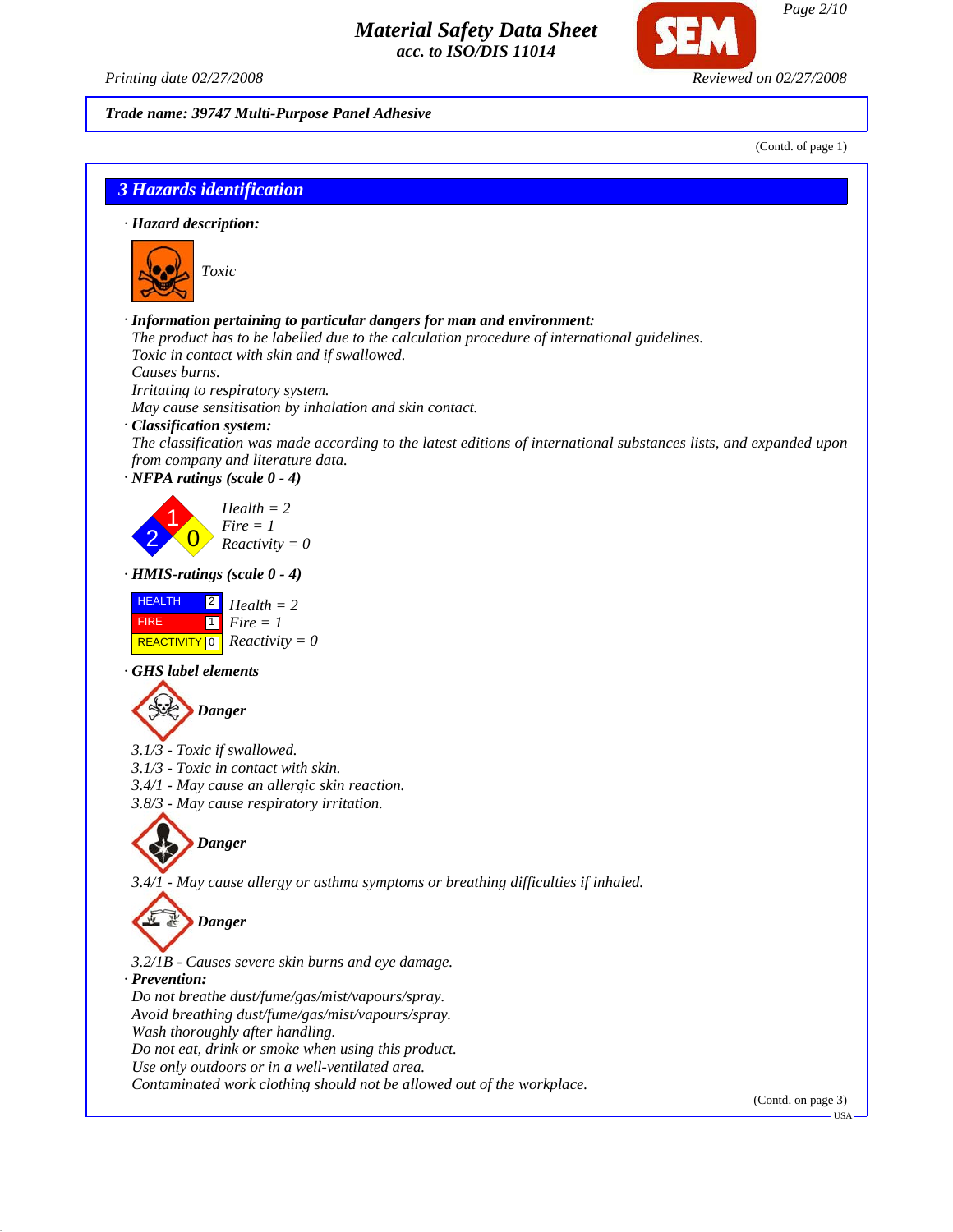*Printing date 02/27/2008 Reviewed on 02/27/2008*

*Trade name: 39747 Multi-Purpose Panel Adhesive*

(Contd. of page 1)

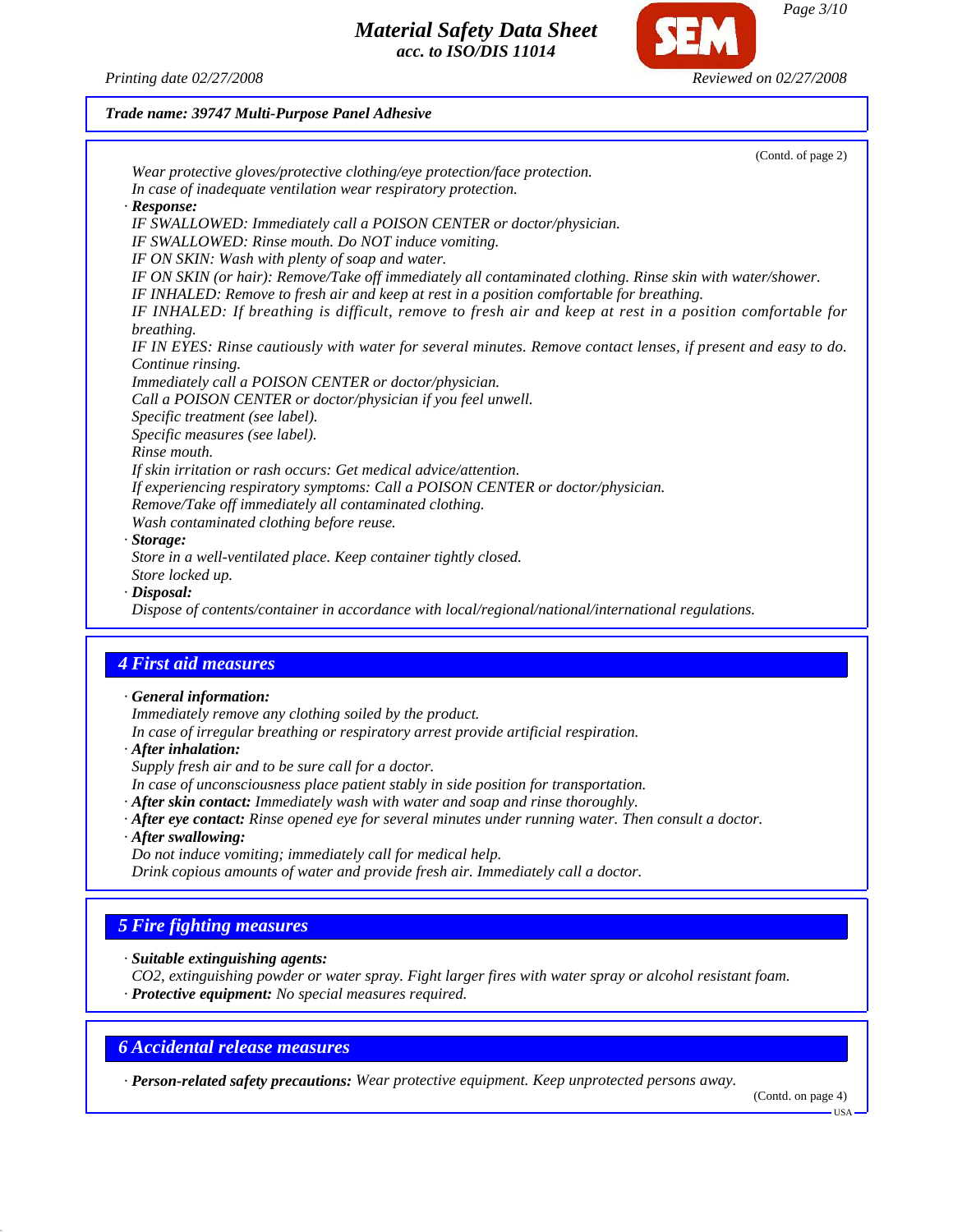*Printing date 02/27/2008 Reviewed on 02/27/2008*

#### *Trade name: 39747 Multi-Purpose Panel Adhesive*



*· Disposal:*

*Dispose of contents/container in accordance with local/regional/national/international regulations.*

#### *4 First aid measures*

*· General information:*

*Immediately remove any clothing soiled by the product. In case of irregular breathing or respiratory arrest provide artificial respiration.*

- *· After inhalation:*
- *Supply fresh air and to be sure call for a doctor.*
- *In case of unconsciousness place patient stably in side position for transportation.*
- *· After skin contact: Immediately wash with water and soap and rinse thoroughly.*
- *· After eye contact: Rinse opened eye for several minutes under running water. Then consult a doctor.*
- *· After swallowing:*

*Do not induce vomiting; immediately call for medical help.*

*Drink copious amounts of water and provide fresh air. Immediately call a doctor.*

# *5 Fire fighting measures*

*· Suitable extinguishing agents:*

*CO2, extinguishing powder or water spray. Fight larger fires with water spray or alcohol resistant foam.*

*· Protective equipment: No special measures required.*

#### *6 Accidental release measures*

*· Person-related safety precautions: Wear protective equipment. Keep unprotected persons away.*

(Contd. on page 4)

USA

*Page 3/10*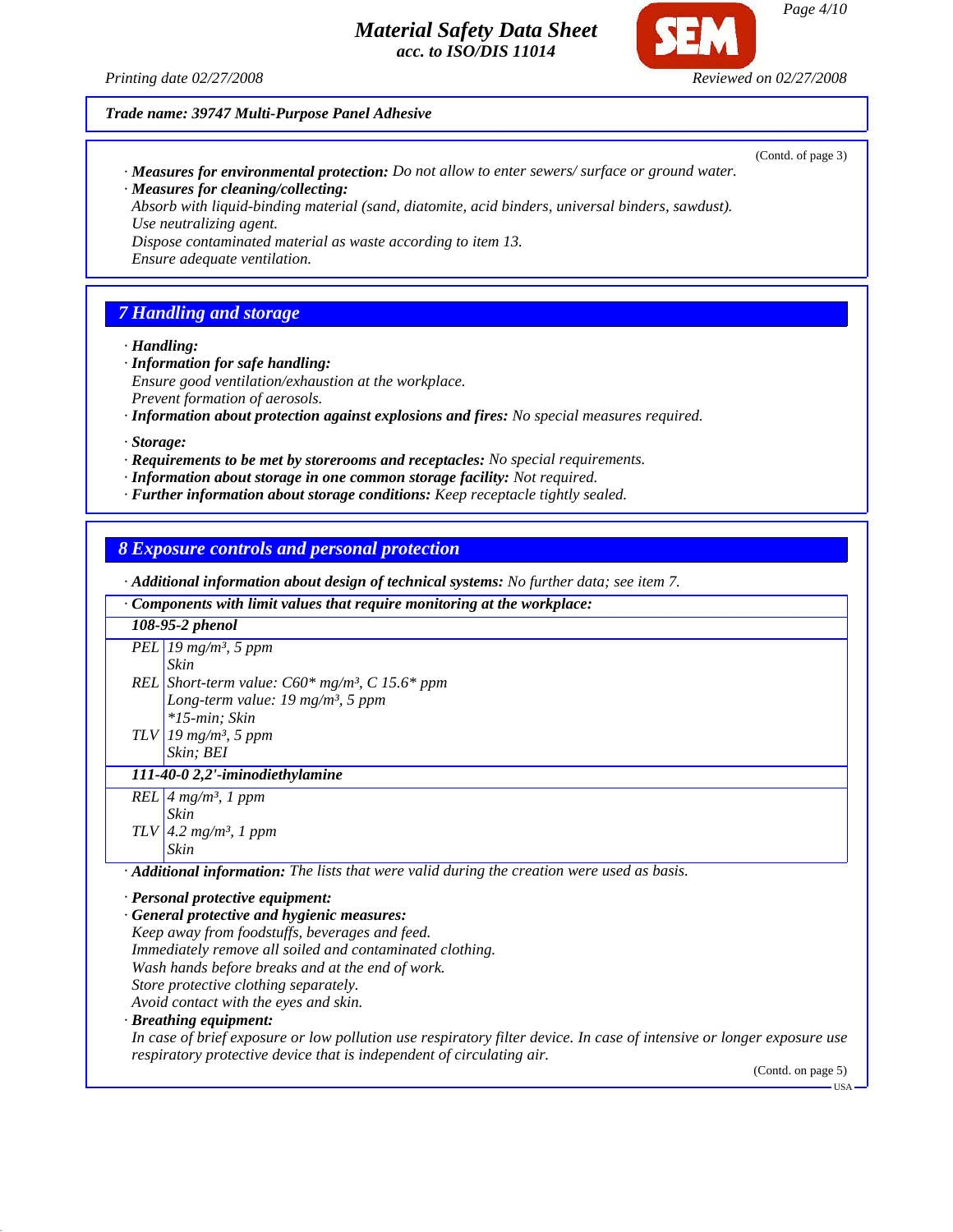

(Contd. of page 3)

*Trade name: 39747 Multi-Purpose Panel Adhesive*

*· Measures for environmental protection: Do not allow to enter sewers/ surface or ground water. · Measures for cleaning/collecting:*

*Absorb with liquid-binding material (sand, diatomite, acid binders, universal binders, sawdust). Use neutralizing agent.*

*Dispose contaminated material as waste according to item 13.*

*Ensure adequate ventilation.*

# *7 Handling and storage*

*· Handling:*

- *· Information for safe handling: Ensure good ventilation/exhaustion at the workplace. Prevent formation of aerosols.*
- *· Information about protection against explosions and fires: No special measures required.*

*· Storage:*

- *· Requirements to be met by storerooms and receptacles: No special requirements.*
- *· Information about storage in one common storage facility: Not required.*
- *· Further information about storage conditions: Keep receptacle tightly sealed.*

#### *8 Exposure controls and personal protection*

*· Additional information about design of technical systems: No further data; see item 7. · Components with limit values that require monitoring at the workplace: 108-95-2 phenol PEL 19 mg/m³, 5 ppm REL Short-term value: C60\* mg/m³, C 15.6\* ppm TLV 19 mg/m³, 5 ppm Skin Long-term value: 19 mg/m³, 5 ppm \*15-min; Skin Skin; BEI 111-40-0 2,2'-iminodiethylamine REL 4 mg/m³, 1 ppm TLV 4.2 mg/m³, 1 ppm Skin Skin · Additional information: The lists that were valid during the creation were used as basis.*

*· Personal protective equipment:*

*· General protective and hygienic measures: Keep away from foodstuffs, beverages and feed. Immediately remove all soiled and contaminated clothing. Wash hands before breaks and at the end of work. Store protective clothing separately. Avoid contact with the eyes and skin.*

*· Breathing equipment:*

*In case of brief exposure or low pollution use respiratory filter device. In case of intensive or longer exposure use respiratory protective device that is independent of circulating air.*

(Contd. on page 5)

 $-11S\Delta$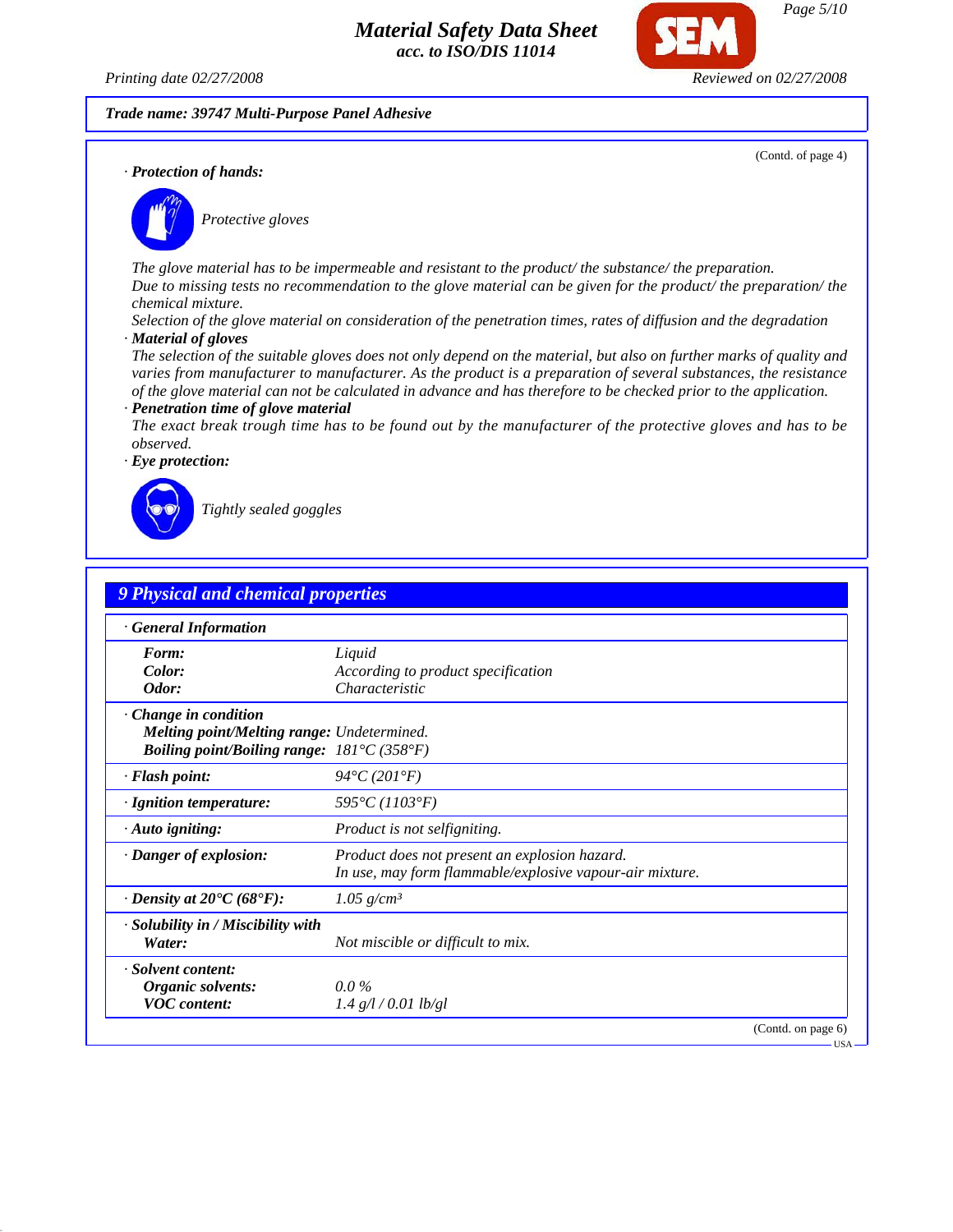*Printing date 02/27/2008 Reviewed on 02/27/2008*

*Trade name: 39747 Multi-Purpose Panel Adhesive*

(Contd. of page 4)

USA

*· Protection of hands:*



*Protective gloves*

*The glove material has to be impermeable and resistant to the product/ the substance/ the preparation. Due to missing tests no recommendation to the glove material can be given for the product/ the preparation/ the chemical mixture.*

*Selection of the glove material on consideration of the penetration times, rates of diffusion and the degradation · Material of gloves*

*The selection of the suitable gloves does not only depend on the material, but also on further marks of quality and varies from manufacturer to manufacturer. As the product is a preparation of several substances, the resistance of the glove material can not be calculated in advance and has therefore to be checked prior to the application. · Penetration time of glove material*

*The exact break trough time has to be found out by the manufacturer of the protective gloves and has to be observed.*



*Tightly sealed goggles*

| <b>9 Physical and chemical properties</b>                                 |                                                          |
|---------------------------------------------------------------------------|----------------------------------------------------------|
| · General Information                                                     |                                                          |
| Form:                                                                     | Liquid                                                   |
| Color:                                                                    | According to product specification                       |
| Odor:                                                                     | Characteristic                                           |
| $\cdot$ Change in condition                                               |                                                          |
| <b>Melting point/Melting range: Undetermined.</b>                         |                                                          |
| <b>Boiling point/Boiling range:</b> $181^{\circ}C(358^{\circ}F)$          |                                                          |
| · Flash point:                                                            | $94^{\circ}C(201^{\circ}F)$                              |
| · Ignition temperature:                                                   | $595^{\circ}C(1103^{\circ}F)$                            |
| $\cdot$ Auto igniting:                                                    | <i>Product is not selfigniting.</i>                      |
| · Danger of explosion:                                                    | Product does not present an explosion hazard.            |
|                                                                           | In use, may form flammable/explosive vapour-air mixture. |
| $\cdot$ Density at 20 <sup><math>\bullet</math></sup> C (68 $\bullet$ F): | 1.05 $g/cm^3$                                            |
| · Solubility in / Miscibility with                                        |                                                          |
| Water:                                                                    | Not miscible or difficult to mix.                        |
| · Solvent content:                                                        |                                                          |
| Organic solvents:                                                         | $0.0\%$                                                  |
| <b>VOC</b> content:                                                       | $1.4$ g/l / 0.01 lb/gl                                   |
|                                                                           | (Contd. on page 6)                                       |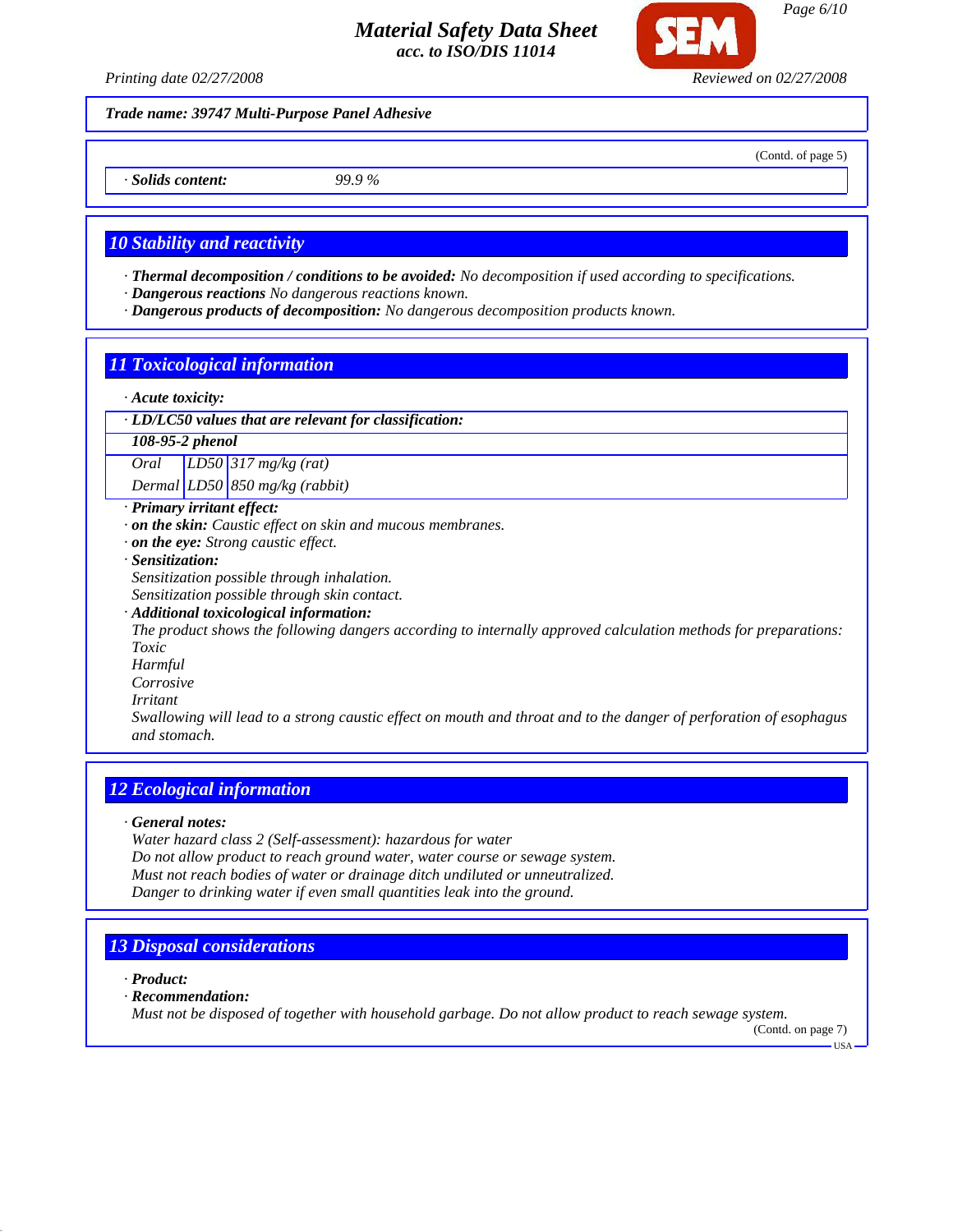

*Trade name: 39747 Multi-Purpose Panel Adhesive*

*· Solids content: 99.9 %*

#### *10 Stability and reactivity*

- *· Thermal decomposition / conditions to be avoided: No decomposition if used according to specifications.*
- *· Dangerous reactions No dangerous reactions known.*
- *· Dangerous products of decomposition: No dangerous decomposition products known.*

# *11 Toxicological information*

- *· Acute toxicity:*
- *· LD/LC50 values that are relevant for classification:*

#### *108-95-2 phenol*

*Oral LD50 317 mg/kg (rat)*

*Dermal LD50 850 mg/kg (rabbit)*

# *· Primary irritant effect:*

- *· on the skin: Caustic effect on skin and mucous membranes.*
- *· on the eye: Strong caustic effect.*
- *· Sensitization:*

*Sensitization possible through inhalation.*

- *Sensitization possible through skin contact.*
- *· Additional toxicological information:*

*The product shows the following dangers according to internally approved calculation methods for preparations: Toxic*

- *Harmful*
- *Corrosive*
- *Irritant*

*Swallowing will lead to a strong caustic effect on mouth and throat and to the danger of perforation of esophagus and stomach.*

# *12 Ecological information*

*· General notes:*

*Water hazard class 2 (Self-assessment): hazardous for water Do not allow product to reach ground water, water course or sewage system. Must not reach bodies of water or drainage ditch undiluted or unneutralized. Danger to drinking water if even small quantities leak into the ground.*

# *13 Disposal considerations*

*· Product:*

*· Recommendation:*

*Must not be disposed of together with household garbage. Do not allow product to reach sewage system.*

(Contd. on page 7)

USA

*Page 6/10*

(Contd. of page 5)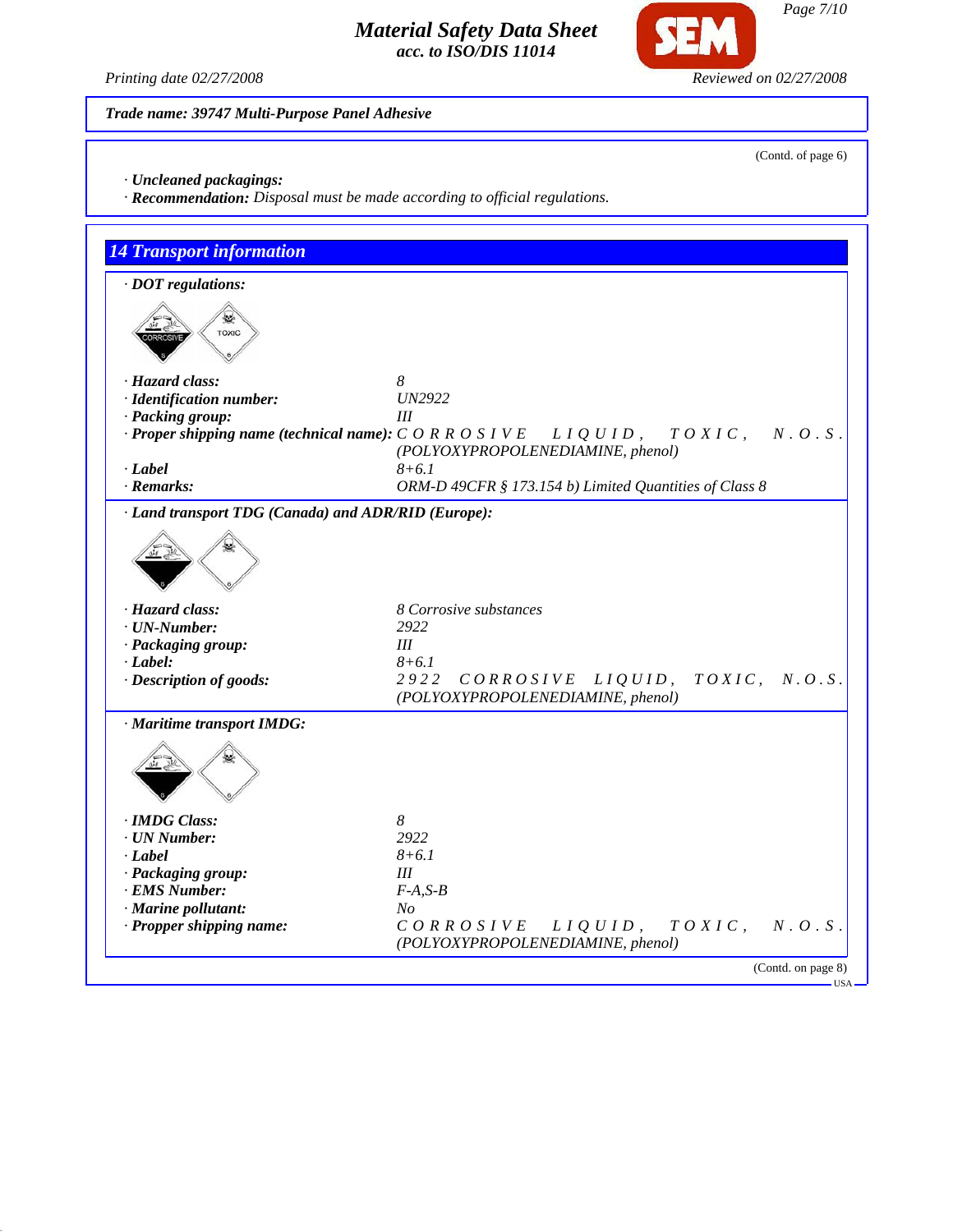

**SEM** 

*Trade name: 39747 Multi-Purpose Panel Adhesive*

(Contd. of page 6)

- *· Uncleaned packagings:*
- *· Recommendation: Disposal must be made according to official regulations.*

| $\cdot$ DOT regulations:                            |                                                                                                                                                   |
|-----------------------------------------------------|---------------------------------------------------------------------------------------------------------------------------------------------------|
| <b>TOXIC</b>                                        |                                                                                                                                                   |
| · Hazard class:                                     | 8                                                                                                                                                 |
| · Identification number:                            | <b>UN2922</b>                                                                                                                                     |
| · Packing group:                                    | Ш                                                                                                                                                 |
|                                                     | $\cdot$ Proper shipping name (technical name): $C O R R O S I V E$ $L I Q U I D$ , $T O X I C$ ,<br>N. O. S.<br>(POLYOXYPROPOLENEDIAMINE, phenol) |
| $-Label$                                            | $8 + 6.1$                                                                                                                                         |
| $\cdot$ Remarks:                                    | ORM-D 49CFR § 173.154 b) Limited Quantities of Class 8                                                                                            |
| · Land transport TDG (Canada) and ADR/RID (Europe): |                                                                                                                                                   |
| · Hazard class:                                     | 8 Corrosive substances                                                                                                                            |
| $\cdot$ UN-Number:                                  | 2922                                                                                                                                              |
| · Packaging group:                                  | Ш                                                                                                                                                 |
| $-Label:$                                           | $8 + 6.1$                                                                                                                                         |
| · Description of goods:                             | 2922<br>CORROSIVE LIQUID, TOXIC, N.O.S.<br>(POLYOXYPROPOLENEDIAMINE, phenol)                                                                      |
| · Maritime transport IMDG:                          |                                                                                                                                                   |
|                                                     |                                                                                                                                                   |
|                                                     |                                                                                                                                                   |
| · IMDG Class:                                       | 8                                                                                                                                                 |
| $\cdot$ UN Number:                                  | 2922                                                                                                                                              |
| $\cdot$ Label                                       | $8 + 6.1$                                                                                                                                         |
| · Packaging group:                                  | Ш                                                                                                                                                 |
| · EMS Number:                                       | $F-A, S-B$                                                                                                                                        |
| · Marine pollutant:<br>· Propper shipping name:     | No<br>CORROSIVE LIQUID,<br>$T O X I C$ ,<br>N. O. S.                                                                                              |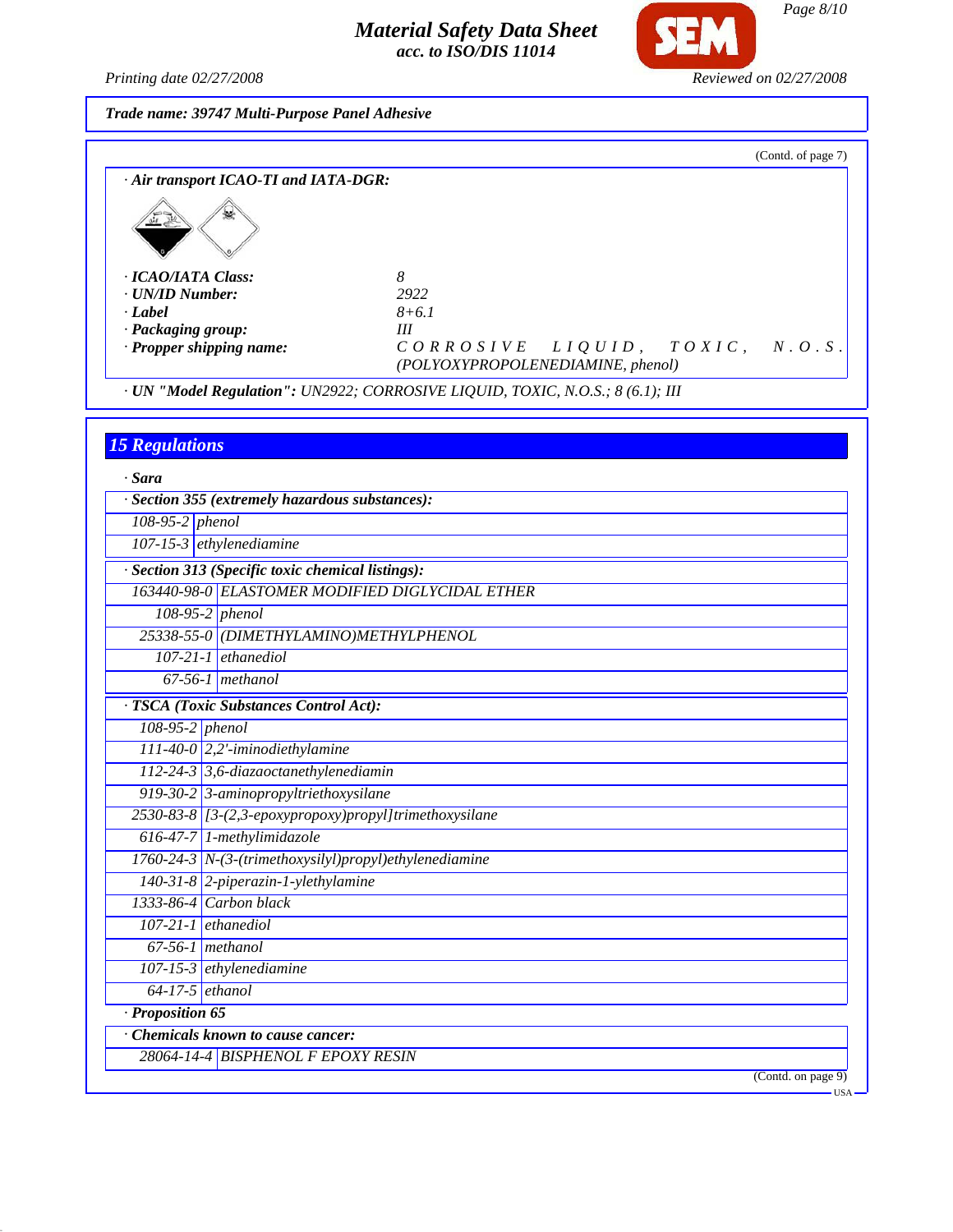*Printing date 02/27/2008 Reviewed on 02/27/2008*

**SEM** 

*Trade name: 39747 Multi-Purpose Panel Adhesive*

|                                       |                                          |  | (Contd. of page 7) |
|---------------------------------------|------------------------------------------|--|--------------------|
| · Air transport ICAO-TI and IATA-DGR: |                                          |  |                    |
|                                       |                                          |  |                    |
| · ICAO/IATA Class:                    | 8                                        |  |                    |
| · UN/ID Number:                       | 2922                                     |  |                    |
| · Label                               | $8 + 6.1$                                |  |                    |
| · Packaging group:                    | Ш                                        |  |                    |
| · Propper shipping name:              | $CORROSIVELIQUID$ , $TOXIC$ , $N. O.S$ . |  |                    |
|                                       | (POLYOXYPROPOLENEDIAMINE, phenol)        |  |                    |

*· UN "Model Regulation": UN2922; CORROSIVE LIQUID, TOXIC, N.O.S.; 8 (6.1); III*

# *15 Regulations*

| · Sara            |                                                        |
|-------------------|--------------------------------------------------------|
|                   | · Section 355 (extremely hazardous substances):        |
| $108-95-2$ phenol |                                                        |
|                   | 107-15-3 ethylenediamine                               |
|                   | · Section 313 (Specific toxic chemical listings):      |
|                   | 163440-98-0 ELASTOMER MODIFIED DIGLYCIDAL ETHER        |
|                   | 108-95-2 phenol                                        |
|                   | 25338-55-0 (DIMETHYLAMINO)METHYLPHENOL                 |
|                   | $107-21-1$ ethanediol                                  |
|                   | $67-56-1$ methanol                                     |
|                   | · TSCA (Toxic Substances Control Act):                 |
| 108-95-2 phenol   |                                                        |
|                   | $111-40-0$ 2,2'-iminodiethylamine                      |
|                   | 112-24-3 3,6-diazaoctanethylenediamin                  |
|                   | 919-30-2 3-aminopropyltriethoxysilane                  |
|                   | 2530-83-8 [3-(2,3-epoxypropoxy)propyl]trimethoxysilane |
|                   | 616-47-7 1-methylimidazole                             |
|                   | 1760-24-3 N-(3-(trimethoxysilyl)propyl)ethylenediamine |
|                   | $140-31-8$ 2-piperazin-1-ylethylamine                  |
|                   | 1333-86-4 Carbon black                                 |
|                   | $107-21-1$ ethanediol                                  |
|                   | $67-56-1$ methanol                                     |
|                   | $107-15-3$ ethylenediamine                             |
| $64-17-5$ ethanol |                                                        |
| · Proposition 65  |                                                        |
|                   | $\overline{\cdot}$ Chemicals known to cause cancer:    |
|                   | 28064-14-4 BISPHENOL F EPOXY RESIN                     |
|                   | $(Contd.$ on page $9)$                                 |

*Page 8/10*

USA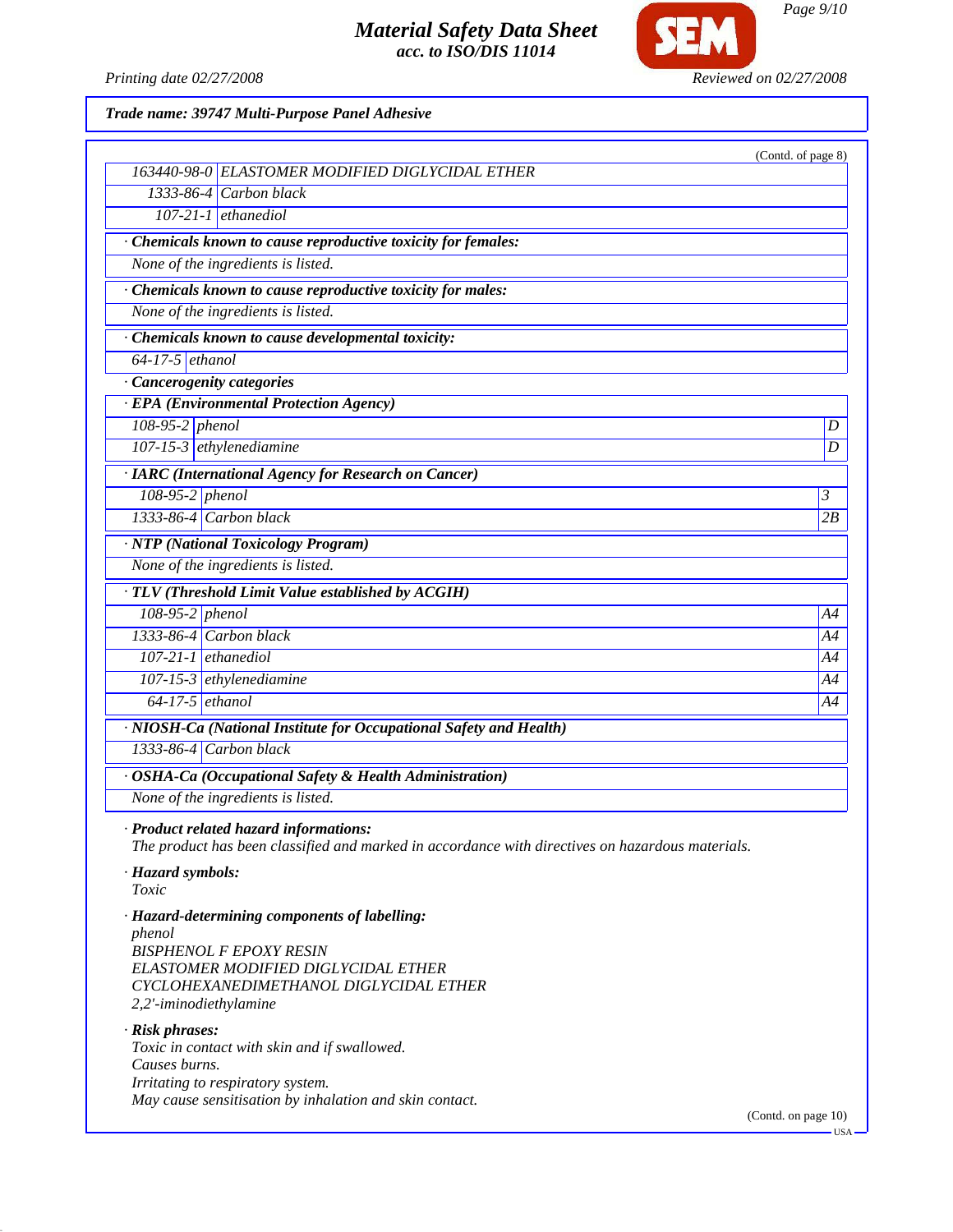

**SEM** 

*Page 9/10*

*Trade name: 39747 Multi-Purpose Panel Adhesive*

| 163440-98-0 ELASTOMER MODIFIED DIGLYCIDAL ETHER<br>1333-86-4 Carbon black<br>$107-21-1$ ethanediol<br>· Chemicals known to cause reproductive toxicity for females:<br>None of the ingredients is listed.<br>· Chemicals known to cause reproductive toxicity for males:<br>None of the ingredients is listed.<br>Chemicals known to cause developmental toxicity:<br>$64-17-5$ ethanol<br>· Cancerogenity categories<br>· EPA (Environmental Protection Agency)<br>$108-95-2$ phenol<br>$\boldsymbol{D}$<br>$107-15-3$ ethylenediamine<br>D<br><b>IARC</b> (International Agency for Research on Cancer)<br>108-95-2 phenol<br>$\mathfrak{Z}$<br>1333-86-4 Carbon black<br>2B<br>· NTP (National Toxicology Program)<br>None of the ingredients is listed.<br>· TLV (Threshold Limit Value established by ACGIH)<br>$108-95-2$ phenol<br>A4<br>$1333-86-4$ Carbon black<br>A4<br>$107-21-1$ ethanediol<br>A4<br>$107-15-3$ ethylenediamine<br>A4<br>$64-17-5$ ethanol<br>A4<br>· NIOSH-Ca (National Institute for Occupational Safety and Health)<br>$1333-86-4$ Carbon black<br>· OSHA-Ca (Occupational Safety & Health Administration)<br>None of the ingredients is listed. |
|---------------------------------------------------------------------------------------------------------------------------------------------------------------------------------------------------------------------------------------------------------------------------------------------------------------------------------------------------------------------------------------------------------------------------------------------------------------------------------------------------------------------------------------------------------------------------------------------------------------------------------------------------------------------------------------------------------------------------------------------------------------------------------------------------------------------------------------------------------------------------------------------------------------------------------------------------------------------------------------------------------------------------------------------------------------------------------------------------------------------------------------------------------------------------------|
|                                                                                                                                                                                                                                                                                                                                                                                                                                                                                                                                                                                                                                                                                                                                                                                                                                                                                                                                                                                                                                                                                                                                                                                 |
|                                                                                                                                                                                                                                                                                                                                                                                                                                                                                                                                                                                                                                                                                                                                                                                                                                                                                                                                                                                                                                                                                                                                                                                 |
|                                                                                                                                                                                                                                                                                                                                                                                                                                                                                                                                                                                                                                                                                                                                                                                                                                                                                                                                                                                                                                                                                                                                                                                 |
|                                                                                                                                                                                                                                                                                                                                                                                                                                                                                                                                                                                                                                                                                                                                                                                                                                                                                                                                                                                                                                                                                                                                                                                 |
|                                                                                                                                                                                                                                                                                                                                                                                                                                                                                                                                                                                                                                                                                                                                                                                                                                                                                                                                                                                                                                                                                                                                                                                 |
|                                                                                                                                                                                                                                                                                                                                                                                                                                                                                                                                                                                                                                                                                                                                                                                                                                                                                                                                                                                                                                                                                                                                                                                 |
|                                                                                                                                                                                                                                                                                                                                                                                                                                                                                                                                                                                                                                                                                                                                                                                                                                                                                                                                                                                                                                                                                                                                                                                 |
|                                                                                                                                                                                                                                                                                                                                                                                                                                                                                                                                                                                                                                                                                                                                                                                                                                                                                                                                                                                                                                                                                                                                                                                 |
|                                                                                                                                                                                                                                                                                                                                                                                                                                                                                                                                                                                                                                                                                                                                                                                                                                                                                                                                                                                                                                                                                                                                                                                 |
|                                                                                                                                                                                                                                                                                                                                                                                                                                                                                                                                                                                                                                                                                                                                                                                                                                                                                                                                                                                                                                                                                                                                                                                 |
|                                                                                                                                                                                                                                                                                                                                                                                                                                                                                                                                                                                                                                                                                                                                                                                                                                                                                                                                                                                                                                                                                                                                                                                 |
|                                                                                                                                                                                                                                                                                                                                                                                                                                                                                                                                                                                                                                                                                                                                                                                                                                                                                                                                                                                                                                                                                                                                                                                 |
|                                                                                                                                                                                                                                                                                                                                                                                                                                                                                                                                                                                                                                                                                                                                                                                                                                                                                                                                                                                                                                                                                                                                                                                 |
|                                                                                                                                                                                                                                                                                                                                                                                                                                                                                                                                                                                                                                                                                                                                                                                                                                                                                                                                                                                                                                                                                                                                                                                 |
|                                                                                                                                                                                                                                                                                                                                                                                                                                                                                                                                                                                                                                                                                                                                                                                                                                                                                                                                                                                                                                                                                                                                                                                 |
|                                                                                                                                                                                                                                                                                                                                                                                                                                                                                                                                                                                                                                                                                                                                                                                                                                                                                                                                                                                                                                                                                                                                                                                 |
|                                                                                                                                                                                                                                                                                                                                                                                                                                                                                                                                                                                                                                                                                                                                                                                                                                                                                                                                                                                                                                                                                                                                                                                 |
|                                                                                                                                                                                                                                                                                                                                                                                                                                                                                                                                                                                                                                                                                                                                                                                                                                                                                                                                                                                                                                                                                                                                                                                 |
|                                                                                                                                                                                                                                                                                                                                                                                                                                                                                                                                                                                                                                                                                                                                                                                                                                                                                                                                                                                                                                                                                                                                                                                 |
|                                                                                                                                                                                                                                                                                                                                                                                                                                                                                                                                                                                                                                                                                                                                                                                                                                                                                                                                                                                                                                                                                                                                                                                 |
|                                                                                                                                                                                                                                                                                                                                                                                                                                                                                                                                                                                                                                                                                                                                                                                                                                                                                                                                                                                                                                                                                                                                                                                 |
|                                                                                                                                                                                                                                                                                                                                                                                                                                                                                                                                                                                                                                                                                                                                                                                                                                                                                                                                                                                                                                                                                                                                                                                 |
|                                                                                                                                                                                                                                                                                                                                                                                                                                                                                                                                                                                                                                                                                                                                                                                                                                                                                                                                                                                                                                                                                                                                                                                 |
|                                                                                                                                                                                                                                                                                                                                                                                                                                                                                                                                                                                                                                                                                                                                                                                                                                                                                                                                                                                                                                                                                                                                                                                 |
|                                                                                                                                                                                                                                                                                                                                                                                                                                                                                                                                                                                                                                                                                                                                                                                                                                                                                                                                                                                                                                                                                                                                                                                 |
|                                                                                                                                                                                                                                                                                                                                                                                                                                                                                                                                                                                                                                                                                                                                                                                                                                                                                                                                                                                                                                                                                                                                                                                 |
|                                                                                                                                                                                                                                                                                                                                                                                                                                                                                                                                                                                                                                                                                                                                                                                                                                                                                                                                                                                                                                                                                                                                                                                 |
|                                                                                                                                                                                                                                                                                                                                                                                                                                                                                                                                                                                                                                                                                                                                                                                                                                                                                                                                                                                                                                                                                                                                                                                 |
| · Product related hazard informations:<br>The product has been classified and marked in accordance with directives on hazardous materials.                                                                                                                                                                                                                                                                                                                                                                                                                                                                                                                                                                                                                                                                                                                                                                                                                                                                                                                                                                                                                                      |
| · Hazard symbols:<br>Toxic                                                                                                                                                                                                                                                                                                                                                                                                                                                                                                                                                                                                                                                                                                                                                                                                                                                                                                                                                                                                                                                                                                                                                      |
| · Hazard-determining components of labelling:<br>phenol<br><b>BISPHENOL F EPOXY RESIN</b><br>ELASTOMER MODIFIED DIGLYCIDAL ETHER<br>CYCLOHEXANEDIMETHANOL DIGLYCIDAL ETHER<br>2,2'-iminodiethylamine                                                                                                                                                                                                                                                                                                                                                                                                                                                                                                                                                                                                                                                                                                                                                                                                                                                                                                                                                                            |
| · Risk phrases:<br>Toxic in contact with skin and if swallowed.<br>Causes burns.<br>Irritating to respiratory system.                                                                                                                                                                                                                                                                                                                                                                                                                                                                                                                                                                                                                                                                                                                                                                                                                                                                                                                                                                                                                                                           |
| May cause sensitisation by inhalation and skin contact.<br>(Contd. on page 10)                                                                                                                                                                                                                                                                                                                                                                                                                                                                                                                                                                                                                                                                                                                                                                                                                                                                                                                                                                                                                                                                                                  |

 $-$  USA  $\cdot$